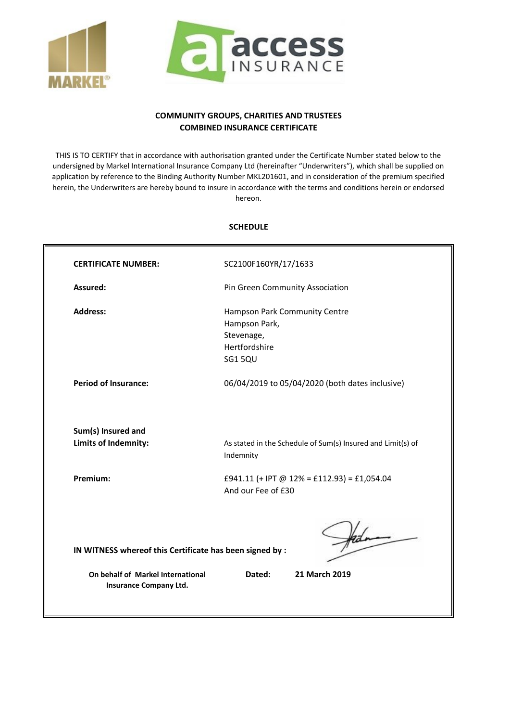



## **COMMUNITY GROUPS, CHARITIES AND TRUSTEES COMBINED INSURANCE CERTIFICATE**

THIS IS TO CERTIFY that in accordance with authorisation granted under the Certificate Number stated below to the undersigned by Markel International Insurance Company Ltd (hereinafter "Underwriters"), which shall be supplied on application by reference to the Binding Authority Number MKL201601, and in consideration of the premium specified herein, the Underwriters are hereby bound to insure in accordance with the terms and conditions herein or endorsed hereon.

## **SCHEDULE**

| <b>CERTIFICATE NUMBER:</b>                               | SC2100F160YR/17/1633                                                     |  |  |  |
|----------------------------------------------------------|--------------------------------------------------------------------------|--|--|--|
| Assured:                                                 | Pin Green Community Association                                          |  |  |  |
| <b>Address:</b>                                          | Hampson Park Community Centre                                            |  |  |  |
|                                                          | Hampson Park,                                                            |  |  |  |
|                                                          | Stevenage,                                                               |  |  |  |
|                                                          | Hertfordshire                                                            |  |  |  |
|                                                          | SG15QU                                                                   |  |  |  |
| <b>Period of Insurance:</b>                              | 06/04/2019 to 05/04/2020 (both dates inclusive)                          |  |  |  |
| Sum(s) Insured and                                       |                                                                          |  |  |  |
| Limits of Indemnity:                                     | As stated in the Schedule of Sum(s) Insured and Limit(s) of<br>Indemnity |  |  |  |
| Premium:                                                 | £941.11 (+ IPT @ 12% = £112.93) = £1,054.04                              |  |  |  |
|                                                          | And our Fee of £30                                                       |  |  |  |
|                                                          |                                                                          |  |  |  |
|                                                          |                                                                          |  |  |  |
| IN WITNESS whereof this Certificate has been signed by : |                                                                          |  |  |  |
|                                                          |                                                                          |  |  |  |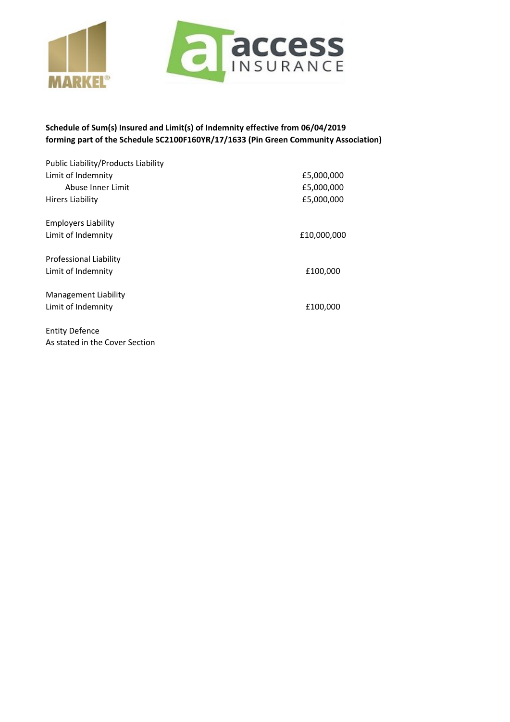



## **Schedule of Sum(s) Insured and Limit(s) of Indemnity effective from 06/04/2019 forming part of the Schedule SC2100F160YR/17/1633 (Pin Green Community Association)**

| Public Liability/Products Liability |             |
|-------------------------------------|-------------|
| Limit of Indemnity                  | £5,000,000  |
| Abuse Inner Limit                   | £5,000,000  |
| <b>Hirers Liability</b>             | £5,000,000  |
| <b>Employers Liability</b>          |             |
| Limit of Indemnity                  | £10,000,000 |
| Professional Liability              |             |
| Limit of Indemnity                  | £100,000    |
| Management Liability                |             |
| Limit of Indemnity                  | £100,000    |
| <b>Entity Defence</b>               |             |

As stated in the Cover Section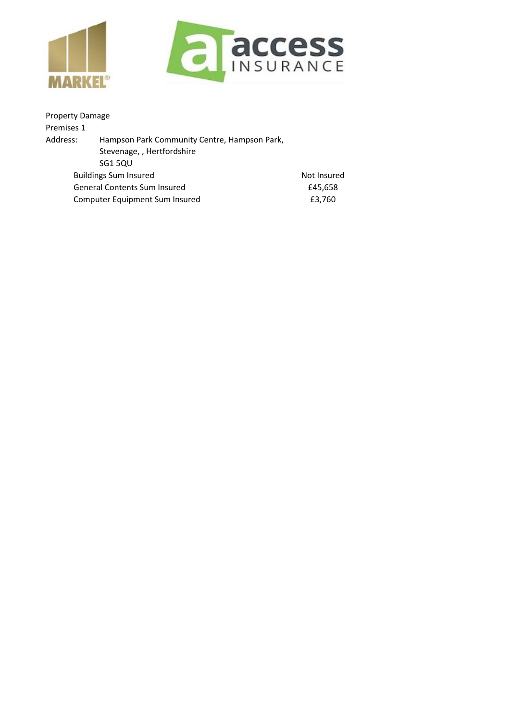



| <b>Property Damage</b>              |                                              |             |
|-------------------------------------|----------------------------------------------|-------------|
| Premises 1                          |                                              |             |
| Address:                            | Hampson Park Community Centre, Hampson Park, |             |
|                                     | Stevenage, , Hertfordshire                   |             |
|                                     | SG1 5QU                                      |             |
|                                     | <b>Buildings Sum Insured</b>                 | Not Insured |
| <b>General Contents Sum Insured</b> |                                              | £45,658     |
|                                     | Computer Equipment Sum Insured               | £3,760      |
|                                     |                                              |             |